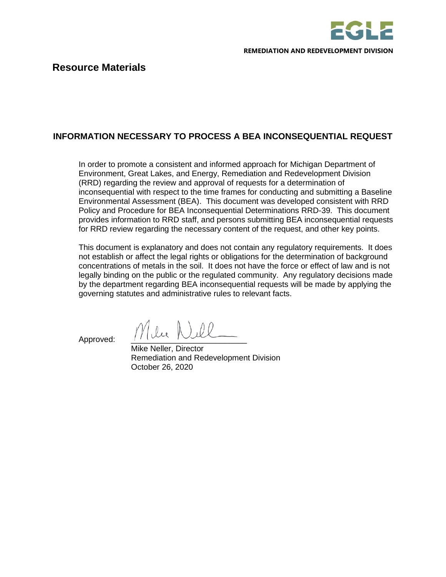

## **INFORMATION NECESSARY TO PROCESS A BEA INCONSEQUENTIAL REQUEST**

In order to promote a consistent and informed approach for Michigan Department of Environment, Great Lakes, and Energy, Remediation and Redevelopment Division (RRD) regarding the review and approval of requests for a determination of inconsequential with respect to the time frames for conducting and submitting a Baseline Environmental Assessment (BEA). This document was developed consistent with RRD Policy and Procedure for BEA Inconsequential Determinations RRD-39. This document provides information to RRD staff, and persons submitting BEA inconsequential requests for RRD review regarding the necessary content of the request, and other key points.

This document is explanatory and does not contain any regulatory requirements. It does not establish or affect the legal rights or obligations for the determination of background concentrations of metals in the soil. It does not have the force or effect of law and is not legally binding on the public or the regulated community. Any regulatory decisions made by the department regarding BEA inconsequential requests will be made by applying the governing statutes and administrative rules to relevant facts.

Approved: Mllee Nell

Mike Neller, Director Remediation and Redevelopment Division October 26, 2020